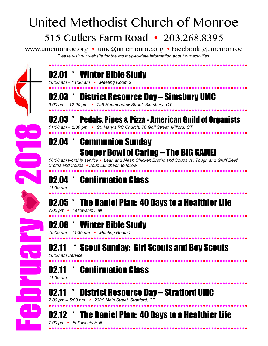# United Methodist Church of Monroe 515 Cutlers Farm Road • 203.268.8395

www.umcmonroe.org • umc@umcmonroe.org • Facebook @umcmonroe *Please visit our website for the most up-to-date information about our activities.*

### 02.01 \* Winter Bible Study

*10:00 am – 11:30 am Meeting Room 2*



#### 02.03 \* District Resource Day – Simsbury UMC *9:00 am – 12:00 pm 799 Hopmeadow Street, Simsbury, CT*

02.03 \* Pedals, Pipes & Pizza - American Guild of Organists *11:00 am – 2:00 pm St. Mary's RC Church, 70 Golf Street, Milford, CT* 

### 02.04 \* Communion Sunday Souper Bowl of Caring – The BIG GAME!

*10:00 am worship service Lean and Mean Chicken Broths and Soups vs. Tough and Gruff Beef Broths and Soups Soup Luncheon to follow*

### 02.04 \* Confirmation Class

*11:30 am*

 02.05 \* The Daniel Plan: 40 Days to a Healthier Life

*7:00 pm Fellowship Hall* 



### **Winter Bible Study**

*10:00 am – 11:30 am Meeting Room 2*

### 02.11 \* Scout Sunday: Girl Scouts and Boy Scouts

*10:00 am Service*

#### 02.11 \* Confirmation Class

*11:30 am* 

02.11 \* District Resource Day – Stratford UMC

*2:00 pm – 5:00 pm 2300 Main Street, Stratford, CT* 

02.12 \* The Daniel Plan: 40 Days to a Healthier Life

*7:00 pm Fellowship Hall*